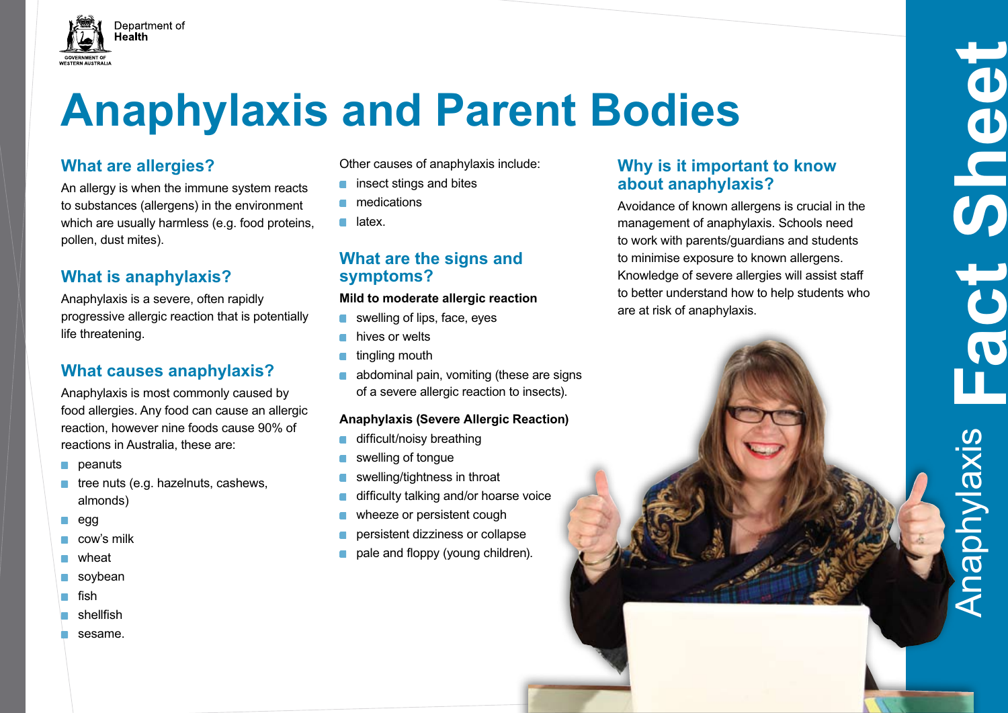# **Anaphylaxis and Parent Bodies**

# **What are allergies?**

Department of Health

An allergy is when the immune system reacts to substances (allergens) in the environment which are usually harmless (e.g. food proteins, pollen, dust mites).

# **What is anaphylaxis?**

Anaphylaxis is a severe, often rapidly progressive allergic reaction that is potentially life threatening.

# **What causes anaphylaxis?**

Anaphylaxis is most commonly caused by food allergies. Any food can cause an allergic reaction, however nine foods cause 90% of reactions in Australia, these are:

- **peanuts**
- $\blacksquare$  tree nuts (e.g. hazelnuts, cashews, almonds)
- $\blacksquare$ egg
- cow's milk
- wheat
- soybean
- fish
- shellfish
- sesame.

Other causes of anaphylaxis include:

- insect stings and bites
- medications
- $\blacksquare$ latex.

### **What are the signs and symptoms?**

#### **Mild to moderate allergic reaction**

- swelling of lips, face, eyes
- hives or welts
- tingling mouth
- abdominal pain, vomiting (these are signs  $\blacksquare$ of a severe allergic reaction to insects).

#### **Anaphylaxis (Severe Allergic Reaction)**

- difficult/noisy breathing
- swelling of tongue
- swelling/tightness in throat
- difficulty talking and/or hoarse voice
- wheeze or persistent cough
- persistent dizziness or collapse
- pale and floppy (young children).

# **Why is it important to know about anaphylaxis?**

Avoidance of known allergens is crucial in the management of anaphylaxis. Schools need to work with parents/guardians and students to minimise exposure to known allergens. Knowledge of severe allergies will assist staff to better understand how to help students who are at risk of anaphylaxis.

**Fact Sheet**

 $\mathbf{\dot{U}}$ 

 $\overline{\boldsymbol{\mathcal{G}}}$ 

3

Anaphylaxis

Anaphylaxis